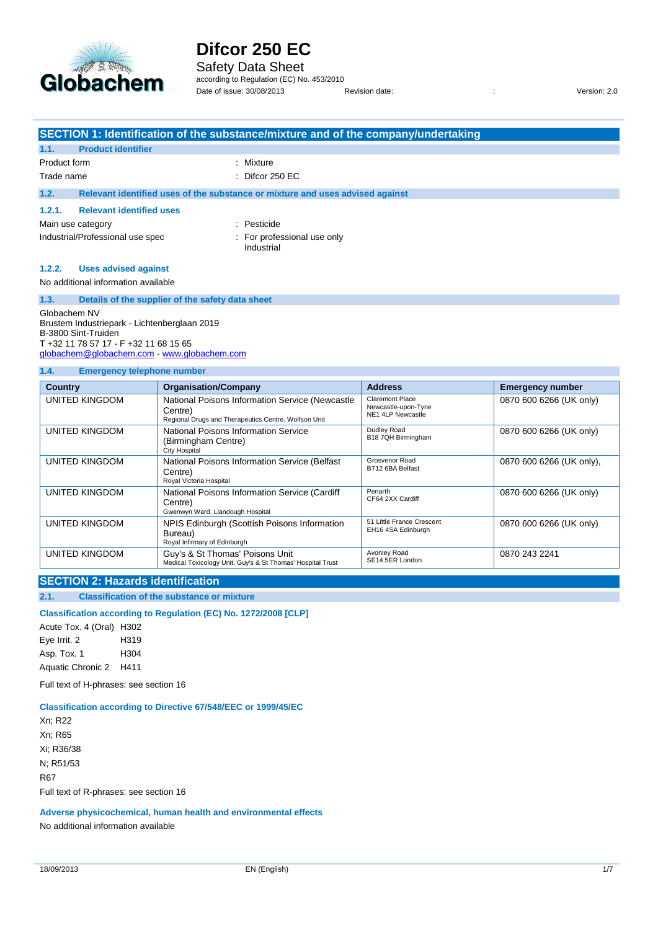

Safety Data Sheet according to Regulation (EC) No. 453/2010

Date of issue: 30/08/2013 Revision date: : Version: 2.0

|                                                                                                                                                                           | SECTION 1: Identification of the substance/mixture and of the company/undertaking |                                        |                         |  |
|---------------------------------------------------------------------------------------------------------------------------------------------------------------------------|-----------------------------------------------------------------------------------|----------------------------------------|-------------------------|--|
| 1.1.<br><b>Product identifier</b>                                                                                                                                         |                                                                                   |                                        |                         |  |
| Product form                                                                                                                                                              | : Mixture                                                                         |                                        |                         |  |
| Trade name                                                                                                                                                                | : Difcor $250$ EC                                                                 |                                        |                         |  |
| 1.2.                                                                                                                                                                      | Relevant identified uses of the substance or mixture and uses advised against     |                                        |                         |  |
| 1.2.1.<br><b>Relevant identified uses</b>                                                                                                                                 |                                                                                   |                                        |                         |  |
| Main use category                                                                                                                                                         | : Pesticide                                                                       |                                        |                         |  |
|                                                                                                                                                                           | Industrial/Professional use spec<br>: For professional use only<br>Industrial     |                                        |                         |  |
| 1.2.2.<br><b>Uses advised against</b>                                                                                                                                     |                                                                                   |                                        |                         |  |
| No additional information available                                                                                                                                       |                                                                                   |                                        |                         |  |
| 1.3.                                                                                                                                                                      | Details of the supplier of the safety data sheet                                  |                                        |                         |  |
| Globachem NV<br>Brustem Industriepark - Lichtenberglaan 2019<br>B-3800 Sint-Truiden<br>T +32 11 78 57 17 - F +32 11 68 15 65<br>globachem@globachem.com www.globachem.com |                                                                                   |                                        |                         |  |
| 1.4.<br><b>Emergency telephone number</b>                                                                                                                                 |                                                                                   |                                        |                         |  |
| <b>Country</b>                                                                                                                                                            | <b>Organisation/Company</b>                                                       | <b>Address</b>                         | <b>Emergency number</b> |  |
| <b>UNITED KINGDOM</b>                                                                                                                                                     | National Poisons Information Service (Newcastle<br>$C_{\alpha}$                   | Claremont Place<br>Newcastle-upon-Tyne | 0870 600 6266 (UK only) |  |

| UNITED KINGDOM | National Poisons Information Service (Newcastle<br>Centre)<br>Regional Drugs and Therapeutics Centre, Wolfson Unit | <b>Claremont Place</b><br>Newcastle-upon-Tyne<br>NE1 4LP Newcastle | 0870 600 6266 (UK only)  |
|----------------|--------------------------------------------------------------------------------------------------------------------|--------------------------------------------------------------------|--------------------------|
| UNITED KINGDOM | National Poisons Information Service<br>(Birmingham Centre)<br>City Hospital                                       | Dudley Road<br>B18 7QH Birmingham                                  | 0870 600 6266 (UK only)  |
| UNITED KINGDOM | National Poisons Information Service (Belfast<br>Centre)<br>Royal Victoria Hospital                                | Grosvenor Road<br>BT12 6BA Belfast                                 | 0870 600 6266 (UK only), |
| UNITED KINGDOM | National Poisons Information Service (Cardiff<br>Centre)<br>Gwenwyn Ward, Llandough Hospital                       | Penarth<br>CF64 2XX Cardiff                                        | 0870 600 6266 (UK only)  |
| UNITED KINGDOM | NPIS Edinburgh (Scottish Poisons Information<br>Bureau)<br>Royal Infirmary of Edinburgh                            | 51 Little France Crescent<br>EH16 4SA Edinburgh                    | 0870 600 6266 (UK only)  |
| UNITED KINGDOM | Guy's & St Thomas' Poisons Unit<br>Medical Toxicology Unit, Guy's & St Thomas' Hospital Trust                      | Avonley Road<br>SE14 5ER London                                    | 0870 243 2241            |

#### **SECTION 2: Hazards identification**

**2.1. Classification of the substance or mixture**

**Classification according to Regulation (EC) No. 1272/2008 [CLP]**

Acute Tox. 4 (Oral) H302 Eye Irrit. 2 H319 Asp. Tox. 1 H304 Aquatic Chronic 2 H411

Full text of H-phrases: see section 16

#### **Classification according to Directive 67/548/EEC or 1999/45/EC**

Xn; R22 Xn; R65 Xi; R36/38 N; R51/53 R67 Full text of R-phrases: see section 16

**Adverse physicochemical, human health and environmental effects**

No additional information available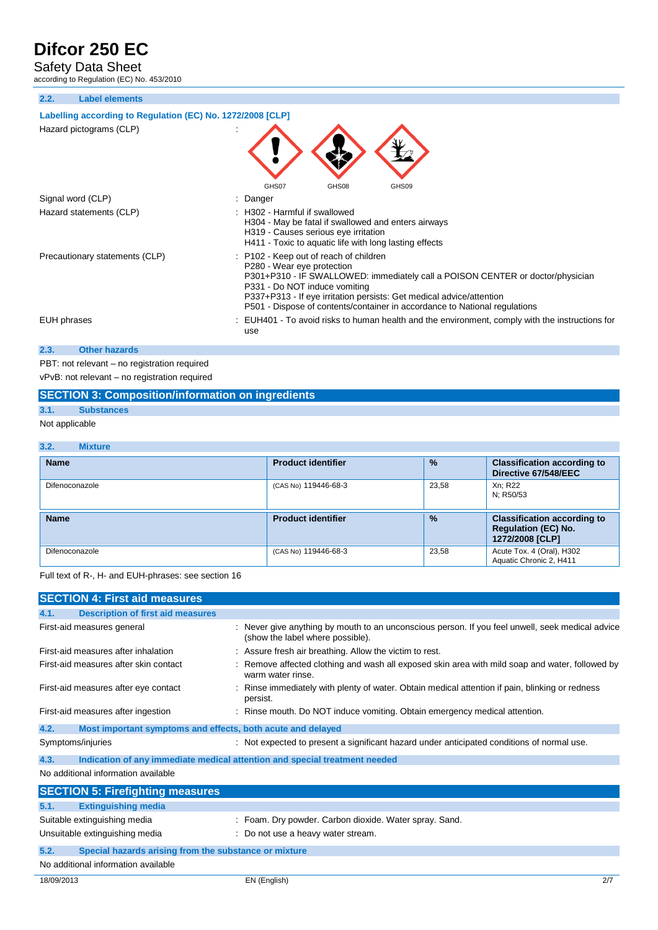Safety Data Sheet

according to Regulation (EC) No. 453/2010

**2.2. Label elements**

#### **Labelling according to Regulation (EC) No. 1272/2008 [CLP]**

| Hazard pictograms (CLP)        | GHS08<br>GHS07<br>GHS09                                                                                                                                                                                                                                                                                                                       |
|--------------------------------|-----------------------------------------------------------------------------------------------------------------------------------------------------------------------------------------------------------------------------------------------------------------------------------------------------------------------------------------------|
| Signal word (CLP)              | Danger                                                                                                                                                                                                                                                                                                                                        |
| Hazard statements (CLP)        | : H302 - Harmful if swallowed<br>H304 - May be fatal if swallowed and enters airways<br>H319 - Causes serious eye irritation<br>H411 - Toxic to aquatic life with long lasting effects                                                                                                                                                        |
| Precautionary statements (CLP) | : P102 - Keep out of reach of children<br>P280 - Wear eye protection<br>P301+P310 - IF SWALLOWED: immediately call a POISON CENTER or doctor/physician<br>P331 - Do NOT induce vomiting<br>P337+P313 - If eye irritation persists: Get medical advice/attention<br>P501 - Dispose of contents/container in accordance to National regulations |
| EUH phrases                    | : EUH401 - To avoid risks to human health and the environment, comply with the instructions for<br>use                                                                                                                                                                                                                                        |
| 2.3.<br><b>Other hazards</b>   |                                                                                                                                                                                                                                                                                                                                               |

PBT: not relevant – no registration required vPvB: not relevant – no registration required

#### **SECTION 3: Composition/information on ingredients**

#### **3.1. Substances**

Not applicable

#### **3.2. Mixture Name Product identifier % Classification according to Directive 67/548/EEC** Difenoconazole 23,58 Xn; R22<br>N; R50/53 **Name Product identifier % Classification according to Regulation (EC) No. 1272/2008 [CLP]** Difenoconazole **CAS No. 23,58** Acute Tox. 4 (Oral), H302 Aquatic Chronic 2, H411

Full text of R-, H- and EUH-phrases: see section 16

| <b>SECTION 4: First aid measures</b>                                               |                                                                                                                                    |  |
|------------------------------------------------------------------------------------|------------------------------------------------------------------------------------------------------------------------------------|--|
| <b>Description of first aid measures</b><br>4.1.                                   |                                                                                                                                    |  |
| First-aid measures general                                                         | Never give anything by mouth to an unconscious person. If you feel unwell, seek medical advice<br>(show the label where possible). |  |
| First-aid measures after inhalation                                                | : Assure fresh air breathing. Allow the victim to rest.                                                                            |  |
| First-aid measures after skin contact                                              | Remove affected clothing and wash all exposed skin area with mild soap and water, followed by<br>warm water rinse.                 |  |
| First-aid measures after eye contact                                               | Rinse immediately with plenty of water. Obtain medical attention if pain, blinking or redness<br>persist.                          |  |
| First-aid measures after ingestion                                                 | : Rinse mouth. Do NOT induce vomiting. Obtain emergency medical attention.                                                         |  |
| 4.2.<br>Most important symptoms and effects, both acute and delayed                |                                                                                                                                    |  |
| Symptoms/injuries                                                                  | : Not expected to present a significant hazard under anticipated conditions of normal use.                                         |  |
| Indication of any immediate medical attention and special treatment needed<br>4.3. |                                                                                                                                    |  |
| No additional information available                                                |                                                                                                                                    |  |
| <b>SECTION 5: Firefighting measures</b>                                            |                                                                                                                                    |  |
| 5.1.<br><b>Extinguishing media</b>                                                 |                                                                                                                                    |  |
| Suitable extinguishing media                                                       | : Foam. Dry powder. Carbon dioxide. Water spray. Sand.                                                                             |  |
| Unsuitable extinguishing media                                                     | : Do not use a heavy water stream.                                                                                                 |  |
| 5.2.<br>Special hazards arising from the substance or mixture                      |                                                                                                                                    |  |
| No additional information available                                                |                                                                                                                                    |  |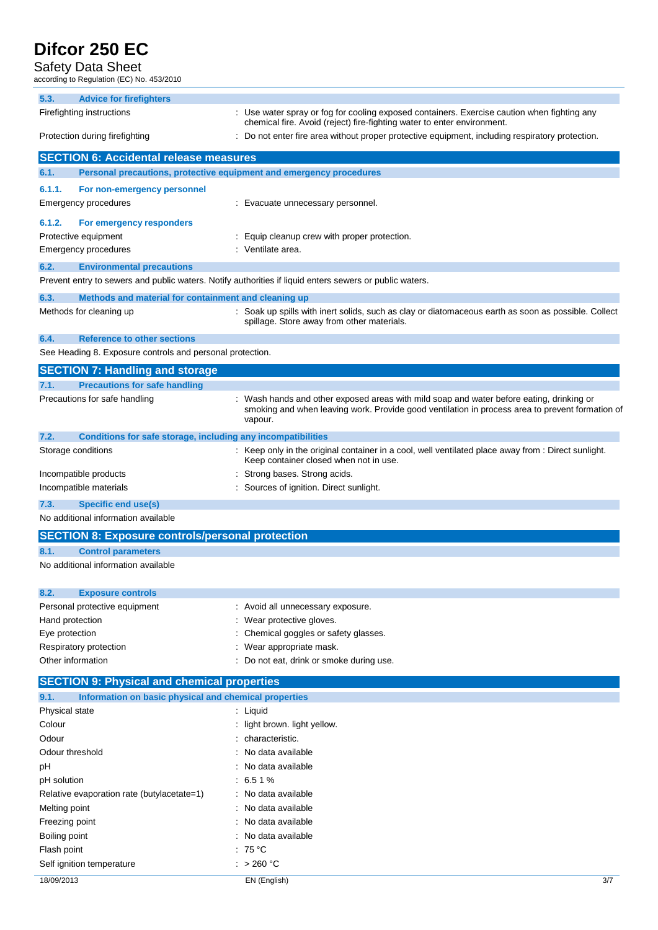## Safety Data Sheet

-<br>Jo. 453/2010

|                                                                   | according to Regulation (EC) No. 453/2010                           |  |                                                                                                                                                                                                        |
|-------------------------------------------------------------------|---------------------------------------------------------------------|--|--------------------------------------------------------------------------------------------------------------------------------------------------------------------------------------------------------|
| 5.3.                                                              | <b>Advice for firefighters</b>                                      |  |                                                                                                                                                                                                        |
| Firefighting instructions                                         |                                                                     |  | : Use water spray or fog for cooling exposed containers. Exercise caution when fighting any<br>chemical fire. Avoid (reject) fire-fighting water to enter environment.                                 |
|                                                                   | Protection during firefighting                                      |  | Do not enter fire area without proper protective equipment, including respiratory protection.                                                                                                          |
|                                                                   | <b>SECTION 6: Accidental release measures</b>                       |  |                                                                                                                                                                                                        |
| 6.1.                                                              | Personal precautions, protective equipment and emergency procedures |  |                                                                                                                                                                                                        |
| 6.1.1.                                                            | For non-emergency personnel                                         |  |                                                                                                                                                                                                        |
| <b>Emergency procedures</b>                                       |                                                                     |  | : Evacuate unnecessary personnel.                                                                                                                                                                      |
| 6.1.2.                                                            | For emergency responders                                            |  |                                                                                                                                                                                                        |
| Protective equipment                                              |                                                                     |  | Equip cleanup crew with proper protection.                                                                                                                                                             |
| Emergency procedures                                              |                                                                     |  | : Ventilate area.                                                                                                                                                                                      |
| 6.2.                                                              | <b>Environmental precautions</b>                                    |  |                                                                                                                                                                                                        |
|                                                                   |                                                                     |  | Prevent entry to sewers and public waters. Notify authorities if liquid enters sewers or public waters.                                                                                                |
| 6.3.                                                              | Methods and material for containment and cleaning up                |  |                                                                                                                                                                                                        |
| Methods for cleaning up                                           |                                                                     |  | : Soak up spills with inert solids, such as clay or diatomaceous earth as soon as possible. Collect<br>spillage. Store away from other materials.                                                      |
| 6.4.                                                              | <b>Reference to other sections</b>                                  |  |                                                                                                                                                                                                        |
|                                                                   | See Heading 8. Exposure controls and personal protection.           |  |                                                                                                                                                                                                        |
|                                                                   | <b>SECTION 7: Handling and storage</b>                              |  |                                                                                                                                                                                                        |
| 7.1.                                                              | <b>Precautions for safe handling</b>                                |  |                                                                                                                                                                                                        |
|                                                                   | Precautions for safe handling                                       |  | : Wash hands and other exposed areas with mild soap and water before eating, drinking or<br>smoking and when leaving work. Provide good ventilation in process area to prevent formation of<br>vapour. |
| 7.2.                                                              | Conditions for safe storage, including any incompatibilities        |  |                                                                                                                                                                                                        |
| Storage conditions                                                |                                                                     |  | : Keep only in the original container in a cool, well ventilated place away from : Direct sunlight.<br>Keep container closed when not in use.                                                          |
| Incompatible products                                             |                                                                     |  | Strong bases. Strong acids.                                                                                                                                                                            |
| : Sources of ignition. Direct sunlight.<br>Incompatible materials |                                                                     |  |                                                                                                                                                                                                        |
|                                                                   |                                                                     |  |                                                                                                                                                                                                        |

**7.3. Specific end use(s)**

No additional information available

## **SECTION 8: Exposure controls/personal protection 8.1. Control parameters** No additional information available

| : Avoid all unnecessary exposure.        |
|------------------------------------------|
| : Wear protective gloves.                |
| : Chemical goggles or safety glasses.    |
| : Wear appropriate mask.                 |
| : Do not eat, drink or smoke during use. |
|                                          |

## **SECTION 9: Physical and chemical properties**

| 9.1. |  | Information on basic physical and chemical properties |  |
|------|--|-------------------------------------------------------|--|
|      |  |                                                       |  |

| Physical state                             | : Liquid                       |
|--------------------------------------------|--------------------------------|
| Colour                                     | : light brown. light yellow.   |
| Odour                                      | : characteristic.              |
| Odour threshold                            | $\therefore$ No data available |
| рH                                         | $\therefore$ No data available |
| pH solution                                | $:6.51\%$                      |
| Relative evaporation rate (butylacetate=1) | : No data available            |
| Melting point                              | $\therefore$ No data available |
| Freezing point                             | $\therefore$ No data available |
| Boiling point                              | : No data available            |
| Flash point                                | : 75 °C                        |
| Self ignition temperature                  | : $>260 °C$                    |
|                                            |                                |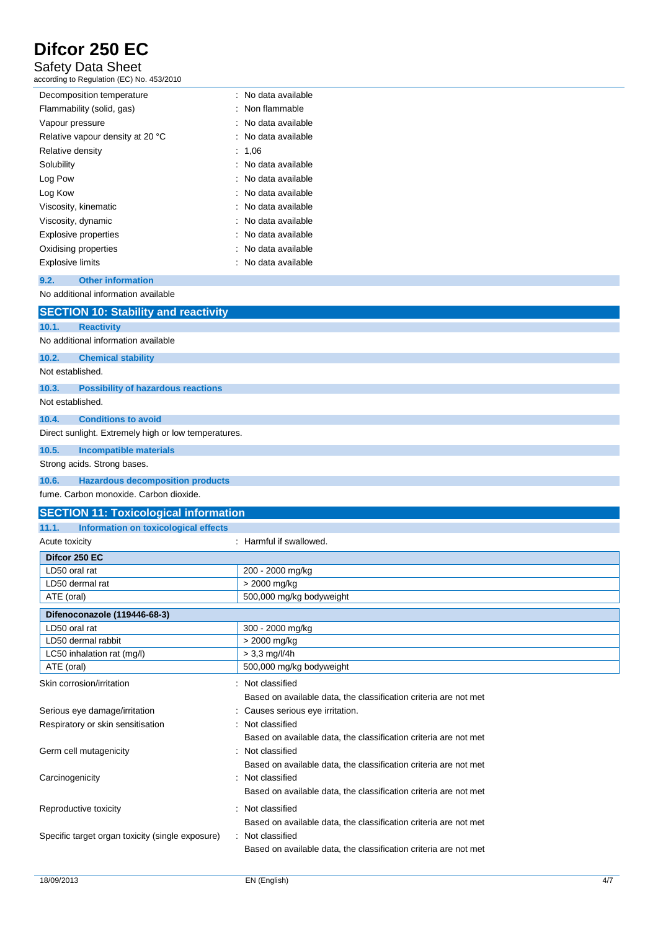## Safety Data Sheet

according to Regulation (EC) No. 453/2010

| Decomposition temperature        | : No data available |
|----------------------------------|---------------------|
| Flammability (solid, gas)        | : Non flammable     |
| Vapour pressure                  | : No data available |
| Relative vapour density at 20 °C | : No data available |
| Relative density                 | : 1.06              |
| Solubility                       | : No data available |
| Log Pow                          | : No data available |
| Log Kow                          | : No data available |
| Viscosity, kinematic             | : No data available |
| Viscosity, dynamic               | : No data available |
| <b>Explosive properties</b>      | : No data available |
| Oxidising properties             | : No data available |
| Explosive limits                 | : No data available |

#### **9.2. Other information**

No additional information available

|                  | <b>SECTION 10: Stability and reactivity</b>          |  |  |
|------------------|------------------------------------------------------|--|--|
| 10.1.            | <b>Reactivity</b>                                    |  |  |
|                  | No additional information available                  |  |  |
| 10.2.            | <b>Chemical stability</b>                            |  |  |
| Not established. |                                                      |  |  |
| 10.3.            | <b>Possibility of hazardous reactions</b>            |  |  |
| Not established. |                                                      |  |  |
| 10.4.            | <b>Conditions to avoid</b>                           |  |  |
|                  | Direct sunlight. Extremely high or low temperatures. |  |  |
| 10.5.            | <b>Incompatible materials</b>                        |  |  |
|                  | Strong acids. Strong bases.                          |  |  |

#### **10.6. Hazardous decomposition products**

fume. Carbon monoxide. Carbon dioxide.

| <b>SECTION 11: Toxicological information</b>     |                                                                                      |  |  |
|--------------------------------------------------|--------------------------------------------------------------------------------------|--|--|
| 11.1.<br>Information on toxicological effects    |                                                                                      |  |  |
| : Harmful if swallowed.<br>Acute toxicity        |                                                                                      |  |  |
| Difcor 250 EC                                    |                                                                                      |  |  |
| LD50 oral rat                                    | 200 - 2000 mg/kg                                                                     |  |  |
| LD50 dermal rat                                  | > 2000 mg/kg                                                                         |  |  |
| ATE (oral)                                       | 500,000 mg/kg bodyweight                                                             |  |  |
| Difenoconazole (119446-68-3)                     |                                                                                      |  |  |
| LD50 oral rat                                    | 300 - 2000 mg/kg                                                                     |  |  |
| LD50 dermal rabbit                               | > 2000 mg/kg                                                                         |  |  |
| LC50 inhalation rat (mg/l)                       | $> 3.3$ mg/l/4h                                                                      |  |  |
| ATE (oral)                                       | 500,000 mg/kg bodyweight                                                             |  |  |
| Skin corrosion/irritation                        | : Not classified<br>Based on available data, the classification criteria are not met |  |  |
| Serious eye damage/irritation                    | Causes serious eye irritation.                                                       |  |  |
| Respiratory or skin sensitisation                | Not classified                                                                       |  |  |
|                                                  | Based on available data, the classification criteria are not met                     |  |  |
| Germ cell mutagenicity                           | Not classified                                                                       |  |  |
|                                                  | Based on available data, the classification criteria are not met                     |  |  |
| Carcinogenicity                                  | Not classified                                                                       |  |  |
|                                                  | Based on available data, the classification criteria are not met                     |  |  |
|                                                  |                                                                                      |  |  |
| Reproductive toxicity                            | Not classified                                                                       |  |  |
|                                                  | Based on available data, the classification criteria are not met                     |  |  |
| Specific target organ toxicity (single exposure) | : Not classified                                                                     |  |  |
|                                                  | Based on available data, the classification criteria are not met                     |  |  |
|                                                  |                                                                                      |  |  |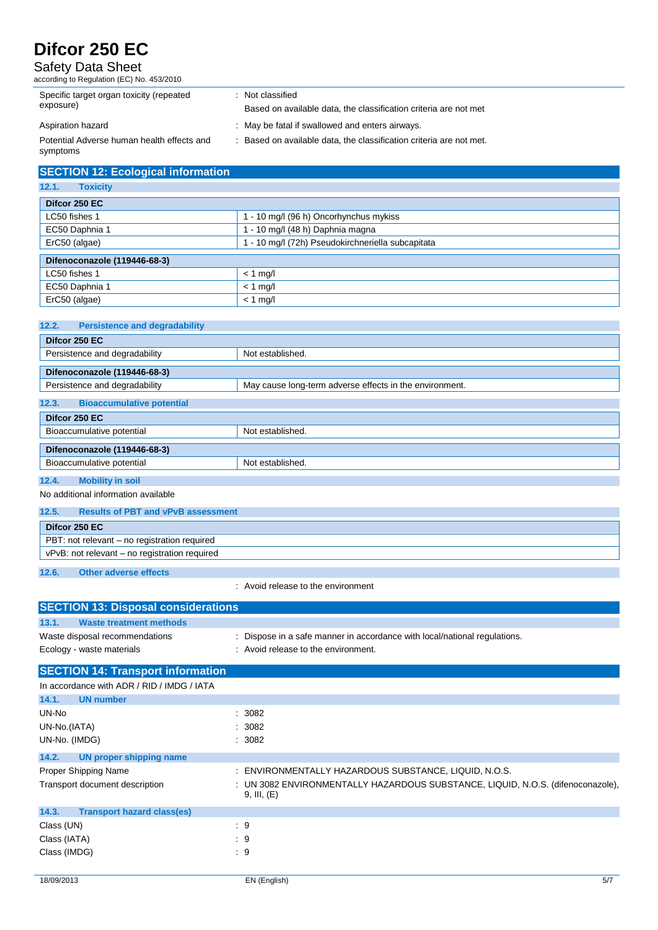#### Safety Data Sheet

according to Regulation (EC) No. 453/2010

| Specific target organ toxicity (repeated<br>exposure)  | : Not classified<br>Based on available data, the classification criteria are not met |
|--------------------------------------------------------|--------------------------------------------------------------------------------------|
| Aspiration hazard                                      | : May be fatal if swallowed and enters airways.                                      |
| Potential Adverse human health effects and<br>symptoms | Based on available data, the classification criteria are not met.                    |

| <b>SECTION 12: Ecological information</b> |                                                   |  |
|-------------------------------------------|---------------------------------------------------|--|
| 12.1.<br><b>Toxicity</b>                  |                                                   |  |
| Difcor 250 EC                             |                                                   |  |
| LC50 fishes 1                             | 1 - 10 mg/l (96 h) Oncorhynchus mykiss            |  |
| EC50 Daphnia 1                            | 1 - 10 mg/l (48 h) Daphnia magna                  |  |
| ErC50 (algae)                             | I - 10 mg/l (72h) Pseudokirchneriella subcapitata |  |
| Difenoconazole (119446-68-3)              |                                                   |  |
| LC50 fishes 1                             | $<$ 1 mg/l                                        |  |
| EC50 Daphnia 1                            | $<$ 1 mg/l                                        |  |
| ErC50 (algae)                             | $<$ 1 mg/l                                        |  |

| 12.2.<br><b>Persistence and degradability</b> |                                                         |  |
|-----------------------------------------------|---------------------------------------------------------|--|
| Difcor 250 EC                                 |                                                         |  |
| Persistence and degradability                 | Not established.                                        |  |
| Difenoconazole (119446-68-3)                  |                                                         |  |
| Persistence and degradability                 | May cause long-term adverse effects in the environment. |  |
| <b>Bioaccumulative potential</b><br>12.3.     |                                                         |  |
| Difcor 250 EC                                 |                                                         |  |
| Bioaccumulative potential                     | Not established.                                        |  |
| Difenoconazole (119446-68-3)                  |                                                         |  |
| Bioaccumulative potential                     | Not established.                                        |  |
| 12.4.<br><b>Mobility in soil</b>              |                                                         |  |
| No additional information available           |                                                         |  |

| 12.5.                                         | <b>Results of PBT and vPvB assessment</b> |  |
|-----------------------------------------------|-------------------------------------------|--|
| Difcor 250 EC                                 |                                           |  |
| PBT: not relevant – no registration required  |                                           |  |
| vPvB: not relevant - no registration required |                                           |  |
| $\sim$                                        |                                           |  |

**12.6. Other adverse effects**

: Avoid release to the environment

| <b>SECTION 13: Disposal considerations</b> |                                                                                                |
|--------------------------------------------|------------------------------------------------------------------------------------------------|
| <b>Waste treatment methods</b><br>13.1.    |                                                                                                |
| Waste disposal recommendations             | : Dispose in a safe manner in accordance with local/national regulations.                      |
| Ecology - waste materials                  | : Avoid release to the environment.                                                            |
| <b>SECTION 14: Transport information</b>   |                                                                                                |
| In accordance with ADR / RID / IMDG / IATA |                                                                                                |
| <b>UN number</b><br>14.1.                  |                                                                                                |
| UN-No                                      | : 3082                                                                                         |
| UN-No.(IATA)                               | : 3082                                                                                         |
| UN-No. (IMDG)                              | : 3082                                                                                         |
| 14.2.<br>UN proper shipping name           |                                                                                                |
| Proper Shipping Name                       | : ENVIRONMENTALLY HAZARDOUS SUBSTANCE, LIQUID, N.O.S.                                          |
| Transport document description             | : UN 3082 ENVIRONMENTALLY HAZARDOUS SUBSTANCE, LIQUID, N.O.S. (difenoconazole),<br>9, III, (E) |
| 14.3.<br><b>Transport hazard class(es)</b> |                                                                                                |
| Class (UN)                                 | $\cdot$ 9                                                                                      |
| Class (IATA)                               | $\cdot$ 9                                                                                      |
| Class (IMDG)                               | $\therefore$ 9                                                                                 |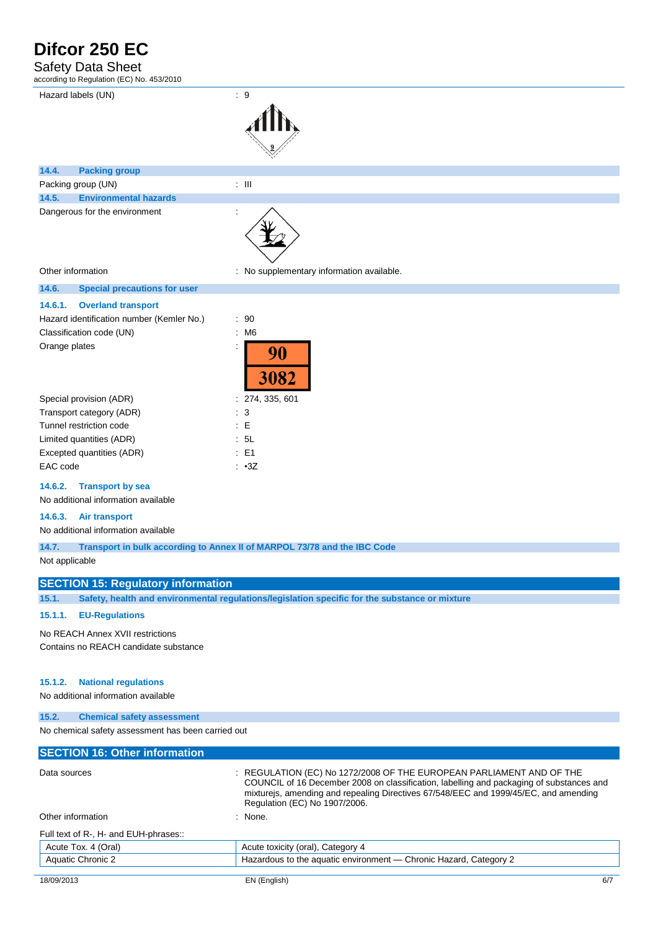### Safety Data Sheet

according to Regulation (EC) No. 453/2010

| aboording to regulation (LO) not root Lord                                        |                     |                                           |
|-----------------------------------------------------------------------------------|---------------------|-------------------------------------------|
| Hazard labels (UN)                                                                | $\therefore$ 9      |                                           |
| 14.4.<br><b>Packing group</b>                                                     |                     |                                           |
| Packing group (UN)                                                                | $\div$ III          |                                           |
| 14.5.<br><b>Environmental hazards</b>                                             |                     |                                           |
| Dangerous for the environment                                                     |                     |                                           |
| Other information                                                                 |                     | : No supplementary information available. |
| 14.6.<br><b>Special precautions for user</b>                                      |                     |                                           |
| 14.6.1.<br><b>Overland transport</b><br>Hazard identification number (Kemler No.) | : 90                |                                           |
| Classification code (UN)<br>Orange plates                                         | M <sub>6</sub><br>÷ | 90<br>3082                                |
| Special provision (ADR)                                                           |                     | 274, 335, 601                             |
| Transport category (ADR)                                                          | 3                   |                                           |
| Tunnel restriction code                                                           | E<br>÷              |                                           |
| Limited quantities (ADR)                                                          | 5L<br>÷             |                                           |

#### **14.6.2. Transport by sea**

No additional information available

#### **14.6.3. Air transport**

No additional information available

**14.7. Transport in bulk according to Annex II of MARPOL 73/78 and the IBC Code**

Not applicable

#### **SECTION 15: Regulatory information**

Excepted quantities (ADR) : E1 EAC code : •3Z

**15.1. Safety, health and environmental regulations/legislation specific for the substance or mixture**

#### **15.1.1. EU-Regulations**

No REACH Annex XVII restrictions

Contains no REACH candidate substance

#### **15.1.2. National regulations**

No additional information available

#### **15.2. Chemical safety assessment**

No chemical safety assessment has been carried out

| <b>SECTION 16: Other information</b>  |                                                                                                                                                                                                                                                                                           |
|---------------------------------------|-------------------------------------------------------------------------------------------------------------------------------------------------------------------------------------------------------------------------------------------------------------------------------------------|
| Data sources                          | : REGULATION (EC) No 1272/2008 OF THE EUROPEAN PARLIAMENT AND OF THE<br>COUNCIL of 16 December 2008 on classification, labelling and packaging of substances and<br>mixturejs, amending and repealing Directives 67/548/EEC and 1999/45/EC, and amending<br>Regulation (EC) No 1907/2006. |
| Other information                     | : None.                                                                                                                                                                                                                                                                                   |
| Full text of R-, H- and EUH-phrases:: |                                                                                                                                                                                                                                                                                           |
| Acute Tox. 4 (Oral)                   | Acute toxicity (oral), Category 4                                                                                                                                                                                                                                                         |
| <b>Aquatic Chronic 2</b>              | Hazardous to the aquatic environment - Chronic Hazard, Category 2                                                                                                                                                                                                                         |
|                                       |                                                                                                                                                                                                                                                                                           |